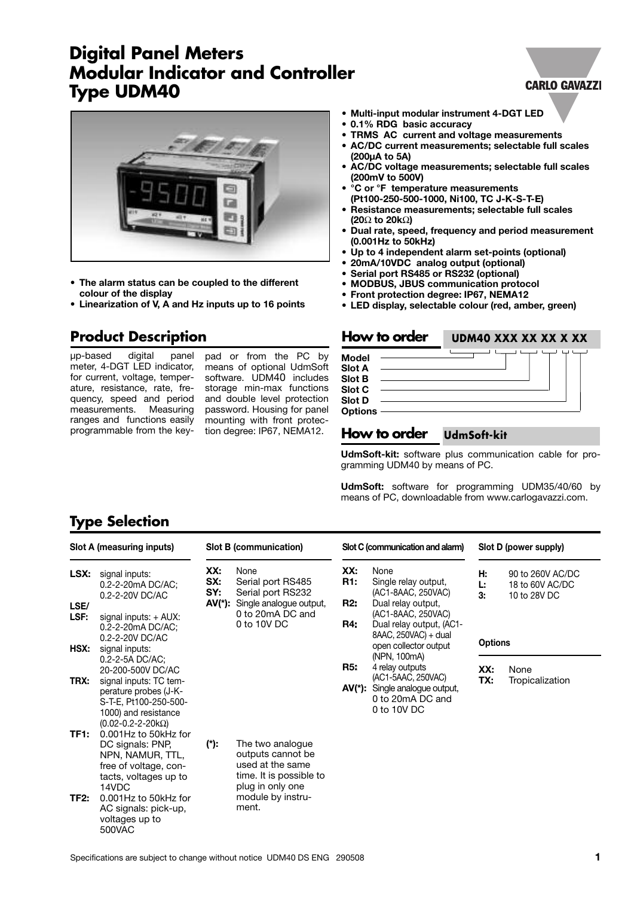# **Digital Panel Meters Modular Indicator and Controller Type UDM40**



- **• The alarm status can be coupled to the different colour of the display**
- **Linearization of V, A and Hz inputs up to 16 points**

### **Product Description**

µp-based digital panel meter, 4-DGT LED indicator, for current, voltage, temperature, resistance, rate, frequency, speed and period measurements. Measuring ranges and functions easily programmable from the key-

pad or from the PC by means of optional UdmSoft software. UDM40 includes storage min-max functions and double level protection password. Housing for panel mounting with front protection degree: IP67, NEMA12.

- **• Multi-input modular instrument 4-DGT LED**
- **0.1% RDG basic accuracy**
- **TRMS AC current and voltage measurements**
- **AC/DC current measurements; selectable full scales (200µA to 5A)**
- **• AC/DC voltage measurements; selectable full scales (200mV to 500V)**
- **°C or °F temperature measurements (Pt100-250-500-1000, Ni100, TC J-K-S-T-E)**
- **Resistance measurements; selectable full scales (20**Ω **to 20k**Ω**)**
- **Dual rate, speed, frequency and period measurement (0.001Hz to 50kHz)**
- **Up to 4 independent alarm set-points (optional)**
- **• 20mA/10VDC analog output (optional)**
- **Serial port RS485 or RS232 (optional)**
- **MODBUS, JBUS communication protocol**
- **Front protection degree: IP67, NEMA12**
- **LED display, selectable colour (red, amber, green)**

| How to order                                                       | UDM40 XXX XX XX X XX |
|--------------------------------------------------------------------|----------------------|
| Model<br><b>Slot A</b><br><b>Slot B</b><br>Slot C<br><b>Slot D</b> |                      |
| <b>Options</b>                                                     |                      |

#### **How to order UdmSoft-kit**

**UdmSoft-kit:** software plus communication cable for programming UDM40 by means of PC.

**UdmSoft:** software for programming UDM35/40/60 by means of PC, downloadable from www.carlogavazzi.com.

### **Type Selection**

| Slot A (measuring inputs)        |                                                                                                                                                                                                     | Slot B (communication)      |                                                                                                                                        |                                 | Slot C (communication and alarm)                                                                                                                                            |                                  | Slot D (power supply)                               |  |  |
|----------------------------------|-----------------------------------------------------------------------------------------------------------------------------------------------------------------------------------------------------|-----------------------------|----------------------------------------------------------------------------------------------------------------------------------------|---------------------------------|-----------------------------------------------------------------------------------------------------------------------------------------------------------------------------|----------------------------------|-----------------------------------------------------|--|--|
| LSX:<br>LSE/<br>LSF:<br>HSX:     | signal inputs:<br>0.2-2-20mA DC/AC;<br>0.2-2-20V DC/AC<br>signal inputs: $+$ AUX:<br>0.2-2-20mA DC/AC;<br>0.2-2-20V DC/AC<br>signal inputs:                                                         | XX:<br>SX:<br>SY:<br>AV(*): | None<br>Serial port RS485<br>Serial port RS232<br>Single analogue output,<br>0 to 20mA DC and<br>0 to 10V DC                           | XX:<br>R1:<br>R2:<br><b>R4:</b> | None<br>Single relay output,<br>(AC1-8AAC, 250VAC)<br>Dual relay output,<br>(AC1-8AAC, 250VAC)<br>Dual relay output, (AC1-<br>8AAC, 250VAC) + dual<br>open collector output | н.<br>Ŀ.<br>З.<br><b>Options</b> | 90 to 260V AC/DC<br>18 to 60V AC/DC<br>10 to 28V DC |  |  |
| TRX:                             | 0.2-2-5A DC/AC;<br>20-200-500V DC/AC<br>signal inputs: TC tem-<br>perature probes (J-K-<br>S-T-E, Pt100-250-500-<br>1000) and resistance<br>$(0.02 - 0.2 - 2 - 20k\Omega)$                          |                             |                                                                                                                                        | <b>R5:</b>                      | (NPN, 100mA)<br>4 relay outputs<br>(AC1-5AAC, 250VAC)<br>AV(*): Single analogue output,<br>0 to 20mA DC and<br>0 to 10V DC                                                  | XX:<br>TX:                       | None<br>Tropicalization                             |  |  |
| TF <sub>1</sub> :<br><b>TF2:</b> | 0.001Hz to 50kHz for<br>DC signals: PNP,<br>NPN, NAMUR, TTL,<br>free of voltage, con-<br>tacts, voltages up to<br>14VDC<br>0.001Hz to 50kHz for<br>AC signals: pick-up,<br>voltages up to<br>500VAC | (*):                        | The two analogue<br>outputs cannot be<br>used at the same<br>time. It is possible to<br>plug in only one<br>module by instru-<br>ment. |                                 |                                                                                                                                                                             |                                  |                                                     |  |  |

#### **CARLO GAVAZZI**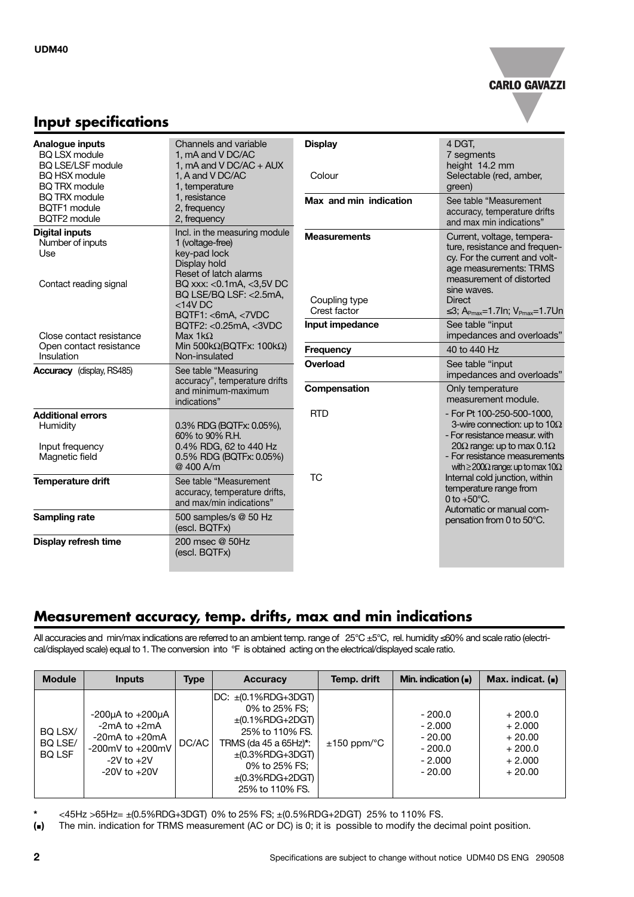

#### **Input specifications**

| Analogue inputs<br><b>BQ LSX module</b><br><b>BQ LSE/LSF module</b><br><b>BQ HSX module</b><br><b>BQ TRX module</b> | Channels and variable<br>1. mA and V DC/AC<br>1, $mA$ and V DC/AC + AUX<br>1, A and V DC/AC<br>1, temperature                                                                                            | <b>Display</b><br>Colour                             | 4 DGT,<br>7 segments<br>height 14.2 mm<br>Selectable (red, amber,<br>green)                                                                                                                                                                        |
|---------------------------------------------------------------------------------------------------------------------|----------------------------------------------------------------------------------------------------------------------------------------------------------------------------------------------------------|------------------------------------------------------|----------------------------------------------------------------------------------------------------------------------------------------------------------------------------------------------------------------------------------------------------|
| <b>BQ TRX module</b><br>BQTF1 module<br>BQTF2 module                                                                | 1, resistance<br>2, frequency<br>2, frequency                                                                                                                                                            | Max and min indication                               | See table "Measurement<br>accuracy, temperature drifts<br>and max min indications"                                                                                                                                                                 |
| <b>Digital inputs</b><br>Number of inputs<br>Use<br>Contact reading signal                                          | Incl. in the measuring module<br>1 (voltage-free)<br>key-pad lock<br>Display hold<br>Reset of latch alarms<br>BQ xxx: < 0.1 mA, < 3,5 V DC<br>BQ LSE/BQ LSF: <2.5mA,<br>$<$ 14V DC<br>BQTF1: <6mA, <7VDC | <b>Measurements</b><br>Coupling type<br>Crest factor | Current, voltage, tempera-<br>ture, resistance and frequen-<br>cy. For the current and volt-<br>age measurements: TRMS<br>measurement of distorted<br>sine waves.<br><b>Direct</b><br>$\leq$ 3; A <sub>Pmax</sub> =1.7ln; V <sub>Pmax</sub> =1.7Un |
| Close contact resistance                                                                                            | BQTF2: <0.25mA, <3VDC<br>Max $1k\Omega$                                                                                                                                                                  | Input impedance                                      | See table "input<br>impedances and overloads"                                                                                                                                                                                                      |
| Open contact resistance<br>Insulation                                                                               | Min 500kΩ(BQTFx: 100kΩ)<br>Non-insulated                                                                                                                                                                 | <b>Frequency</b>                                     | 40 to 440 Hz                                                                                                                                                                                                                                       |
| <b>Accuracy</b> (display, RS485)                                                                                    | See table "Measuring<br>accuracy", temperature drifts                                                                                                                                                    | Overload                                             | See table "input<br>impedances and overloads"                                                                                                                                                                                                      |
|                                                                                                                     | and minimum-maximum<br>indications"                                                                                                                                                                      | Compensation                                         | Only temperature<br>measurement module.                                                                                                                                                                                                            |
| <b>Additional errors</b><br>Humidity<br>Input frequency<br>Magnetic field                                           | 0.3% RDG (BQTFx: 0.05%),<br>60% to 90% R.H.<br>0.4% RDG, 62 to 440 Hz<br>0.5% RDG (BQTFx: 0.05%)<br>@ 400 A/m                                                                                            | <b>RTD</b>                                           | - For Pt 100-250-500-1000,<br>3-wire connection: up to $10\Omega$<br>- For resistance measur. with<br>20 $\Omega$ range: up to max 0.1 $\Omega$<br>- For resistance measurements<br>with $\geq$ 200 $\Omega$ range: up to max 10 $\Omega$          |
| <b>Temperature drift</b>                                                                                            | See table "Measurement<br>accuracy, temperature drifts,<br>and max/min indications"                                                                                                                      | <b>TC</b>                                            | Internal cold junction, within<br>temperature range from<br>0 to $+50^{\circ}$ C.                                                                                                                                                                  |
| Sampling rate                                                                                                       | 500 samples/s @ 50 Hz<br>(escl. BQTFx)                                                                                                                                                                   |                                                      | Automatic or manual com-<br>pensation from 0 to 50°C.                                                                                                                                                                                              |
| Display refresh time                                                                                                | 200 msec @ 50Hz<br>(escl. BQTFx)                                                                                                                                                                         |                                                      |                                                                                                                                                                                                                                                    |

### **Measurement accuracy, temp. drifts, max and min indications**

All accuracies and min/max indications are referred to an ambient temp. range of 25°C ±5°C, rel. humidity ≤60% and scale ratio (electrical/displayed scale) equal to 1. The conversion into °F is obtained acting on the electrical/displayed scale ratio.

| <b>Module</b>                       | <b>Inputs</b>                                                                                                                       | <b>Type</b> | Accuracy                                                                                                                                                                                           | Temp. drift                | Min. indication $($                                                  | Max. indicat. $($                                                    |
|-------------------------------------|-------------------------------------------------------------------------------------------------------------------------------------|-------------|----------------------------------------------------------------------------------------------------------------------------------------------------------------------------------------------------|----------------------------|----------------------------------------------------------------------|----------------------------------------------------------------------|
| BQ LSX/<br>BQ LSE/<br><b>BQ LSF</b> | $-200\mu A$ to $+200\mu A$<br>$-2mA$ to $+2mA$<br>$-20mA$ to $+20mA$<br>-200 $mV$ to $+200mV$<br>$-2V$ to $+2V$<br>$-20V$ to $+20V$ | DC/AC       | $DC: \pm (0.1\%RDG+3DGT)$<br>0% to 25% FS:<br>$\pm$ (0.1%RDG+2DGT)<br>25% to 110% FS.<br>TRMS (da 45 a 65Hz)*:<br>$\pm$ (0.3%RDG+3DGT)<br>0% to 25% FS:<br>$\pm$ (0.3%RDG+2DGT)<br>25% to 110% FS. | $\pm 150$ ppm/ $\degree$ C | $-200.0$<br>$-2.000$<br>$-20.00$<br>$-200.0$<br>$-2.000$<br>$-20.00$ | $+200.0$<br>$+2.000$<br>$+20.00$<br>$+200.0$<br>$+2.000$<br>$+20.00$ |

**\*** <45Hz >65Hz= ±(0.5%RDG+3DGT) 0% to 25% FS; ±(0.5%RDG+2DGT) 25% to 110% FS.

**(**<**)** The min. indication for TRMS measurement (AC or DC) is 0; it is possible to modify the decimal point position.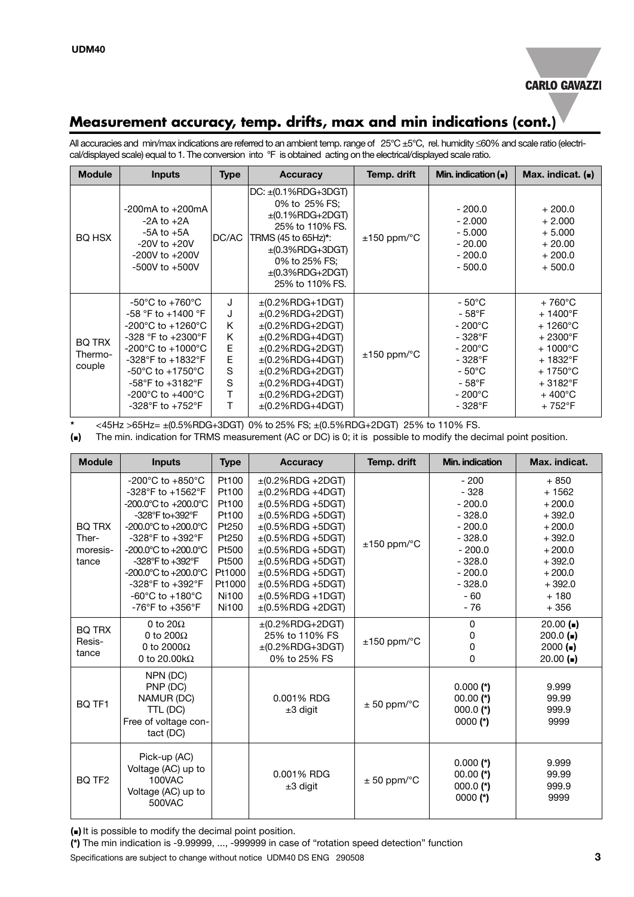

#### **Measurement accuracy, temp. drifts, max and min indications (cont.)**

All accuracies and min/max indications are referred to an ambient temp. range of 25°C ±5°C, rel. humidity ≤60% and scale ratio (electrical/displayed scale) equal to 1. The conversion into °F is obtained acting on the electrical/displayed scale ratio.

| <b>Module</b>                      | <b>Inputs</b>                                                                                                                                                                                                                                                                                                                                                                   | <b>Type</b>                                    | <b>Accuracy</b>                                                                                                                                                                                                                              | Temp. drift                | Min. indication $($                                                                                                                                                          | Max. indicat. $($                                                                                                                                                                                 |
|------------------------------------|---------------------------------------------------------------------------------------------------------------------------------------------------------------------------------------------------------------------------------------------------------------------------------------------------------------------------------------------------------------------------------|------------------------------------------------|----------------------------------------------------------------------------------------------------------------------------------------------------------------------------------------------------------------------------------------------|----------------------------|------------------------------------------------------------------------------------------------------------------------------------------------------------------------------|---------------------------------------------------------------------------------------------------------------------------------------------------------------------------------------------------|
| BQ HSX                             | $-200$ mA to $+200$ mA<br>$-2A$ to $+2A$<br>$-5A$ to $+5A$<br>$-20V$ to $+20V$<br>$-200V$ to $+200V$<br>$-500V$ to $+500V$                                                                                                                                                                                                                                                      | DC/AC                                          | $DC: \pm (0.1\%RDG + 3DGT)$<br>0% to 25% FS:<br>$\pm (0.1\%$ RDG+2DGT)<br>25% to 110% FS.<br>TRMS (45 to 65Hz)*:<br>$\pm$ (0.3%RDG+3DGT)<br>0% to 25% FS:<br>$\pm$ (0.3%RDG+2DGT)<br>25% to 110% FS.                                         | $\pm 150$ ppm/ $\degree$ C | $-200.0$<br>$-2.000$<br>$-5.000$<br>$-20.00$<br>$-200.0$<br>$-500.0$                                                                                                         | $+200.0$<br>$+2.000$<br>$+5.000$<br>$+20.00$<br>$+200.0$<br>$+500.0$                                                                                                                              |
| <b>BQ TRX</b><br>Thermo-<br>couple | $-50^{\circ}$ C to $+760^{\circ}$ C<br>-58 $\degree$ F to +1400 $\degree$ F<br>$-200^{\circ}$ C to $+1260^{\circ}$ C<br>$-328$ °F to $+2300$ °F<br>$-200^{\circ}$ C to $+1000^{\circ}$ C<br>$-328^{\circ}$ F to $+1832^{\circ}$ F<br>$-50^{\circ}$ C to $+1750^{\circ}$ C<br>$-58^{\circ}$ F to $+3182^{\circ}$ F<br>-200 $^{\circ}$ C to +400 $^{\circ}$ C<br>-328°F to +752°F | J<br>J<br>K<br>K<br>E<br>E<br>S<br>S<br>т<br>Т | $\pm$ (0.2%RDG+1DGT)<br>$\pm$ (0.2%RDG+2DGT)<br>$\pm$ (0.2%RDG+2DGT)<br>$\pm$ (0.2%RDG+4DGT)<br>$\pm$ (0.2%RDG+2DGT)<br>$\pm$ (0.2%RDG+4DGT)<br>$\pm$ (0.2%RDG+2DGT)<br>$\pm$ (0.2%RDG+4DGT)<br>$\pm$ (0.2%RDG+2DGT)<br>$\pm$ (0.2%RDG+4DGT) | $\pm 150$ ppm/ $\degree$ C | $-50^{\circ}$ C<br>- 58 $\mathrm{^{\circ}F}$<br>$-200^{\circ}$ C<br>$-328$ °F<br>$-200^{\circ}$ C<br>$-328$ °F<br>$-50^{\circ}$ C<br>$-58^{\circ}$ F<br>- 200°C<br>$-328$ °F | $+760^{\circ}$ C<br>$+1400^{\circ}F$<br>$+1260^{\circ}$ C<br>$+2300^{\circ}$ F<br>$+1000^{\circ}$ C<br>$+1832^{\circ}F$<br>$+1750^{\circ}$ C<br>$+3182^{\circ}F$<br>$+400^{\circ}$ C<br>$+752$ °F |

**\*** <45Hz >65Hz= ±(0.5%RDG+3DGT) 0% to 25% FS; ±(0.5%RDG+2DGT) 25% to 110% FS.

**(**<**)** The min. indication for TRMS measurement (AC or DC) is 0; it is possible to modify the decimal point position.

| <b>Module</b>                               | <b>Inputs</b>                                                                                                                                                                                                                                                                                                                                                                                                                            | <b>Type</b>                                                                                                | <b>Accuracy</b>                                                                                                                                                                                                                                                                                                | Temp. drift               | Min. indication                                                                                                                    | Max. indicat.                                                                                                                         |
|---------------------------------------------|------------------------------------------------------------------------------------------------------------------------------------------------------------------------------------------------------------------------------------------------------------------------------------------------------------------------------------------------------------------------------------------------------------------------------------------|------------------------------------------------------------------------------------------------------------|----------------------------------------------------------------------------------------------------------------------------------------------------------------------------------------------------------------------------------------------------------------------------------------------------------------|---------------------------|------------------------------------------------------------------------------------------------------------------------------------|---------------------------------------------------------------------------------------------------------------------------------------|
| <b>BQ TRX</b><br>Ther-<br>moresis-<br>tance | -200 $^{\circ}$ C to +850 $^{\circ}$ C<br>-328°F to +1562°F<br>$-200.0^{\circ}$ C to $+200.0^{\circ}$ C<br>-328 $\mathrm{^{\circ}F}$ to+392 $\mathrm{^{\circ}F}$<br>$-200.0^{\circ}$ C to $+200.0^{\circ}$ C<br>-328°F to $+392$ °F<br>$-200.0^{\circ}$ C to $+200.0^{\circ}$ C<br>-328°F to +392°F<br>$-200.0$ °C to $+200.0$ °C<br>-328°F to $+392$ °F<br>-60 $^{\circ}$ C to +180 $^{\circ}$ C<br>$-76^{\circ}$ F to $+356^{\circ}$ F | Pt100<br>Pt100<br>Pt100<br>Pt100<br>Pt250<br>Pt250<br>Pt500<br>Pt500<br>Pt1000<br>Pt1000<br>Ni100<br>Ni100 | $\pm$ (0.2%RDG +2DGT)<br>$\pm$ (0.2%RDG +4DGT)<br>$\pm$ (0.5%RDG +5DGT)<br>$\pm$ (0.5%RDG +5DGT)<br>$\pm (0.5\%$ RDG +5DGT)<br>$\pm$ (0.5%RDG +5DGT)<br>$\pm$ (0.5%RDG +5DGT)<br>$\pm$ (0.5%RDG +5DGT)<br>$\pm$ (0.5%RDG +5DGT)<br>$\pm (0.5\%$ RDG +5DGT)<br>$\pm (0.5\%$ RDG +1DGT)<br>$\pm$ (0.5%RDG +2DGT) | $±150$ ppm/ $°C$          | $-200$<br>$-328$<br>$-200.0$<br>$-328.0$<br>$-200.0$<br>$-328.0$<br>$-200.0$<br>$-328.0$<br>$-200.0$<br>$-328.0$<br>$-60$<br>$-76$ | $+850$<br>$+1562$<br>$+200.0$<br>$+392.0$<br>$+200.0$<br>$+392.0$<br>$+200.0$<br>$+392.0$<br>$+200.0$<br>$+392.0$<br>$+180$<br>$+356$ |
| <b>BO TRX</b><br>Resis-<br>tance            | 0 to $20\Omega$<br>0 to 200 $\Omega$<br>0 to 2000 $\Omega$<br>0 to 20.00 $k\Omega$                                                                                                                                                                                                                                                                                                                                                       |                                                                                                            | $\pm$ (0.2%RDG+2DGT)<br>25% to 110% FS<br>$\pm$ (0.2%RDG+3DGT)<br>0% to 25% FS                                                                                                                                                                                                                                 | $±150$ ppm/ $°C$          | 0<br>0<br>0<br>0                                                                                                                   | $20.00$ ( $\blacksquare$ )<br>$200.0$ ( $\blacksquare$ )<br>2000(<br>$20.00$ ( $\blacksquare$ )                                       |
| BQ TF1                                      | NPN (DC)<br>PNP (DC)<br>NAMUR (DC)<br>TTL (DC)<br>Free of voltage con-<br>tact (DC)                                                                                                                                                                                                                                                                                                                                                      |                                                                                                            | 0.001% RDG<br>$±3$ digit                                                                                                                                                                                                                                                                                       | $± 50$ ppm/ $°C$          | $0.000$ (*)<br>$00.00$ (*)<br>$000.0$ (*)<br>$0000$ (*)                                                                            | 9.999<br>99.99<br>999.9<br>9999                                                                                                       |
| BQ TF <sub>2</sub>                          | Pick-up (AC)<br>Voltage (AC) up to<br>100VAC<br>Voltage (AC) up to<br>500VAC                                                                                                                                                                                                                                                                                                                                                             |                                                                                                            | 0.001% RDG<br>$±3$ digit                                                                                                                                                                                                                                                                                       | $\pm$ 50 ppm/ $\degree$ C | $0.000$ (*)<br>$00.00$ (*)<br>$000.0$ (*)<br>$0000$ (*)                                                                            |                                                                                                                                       |

**(**<**)** It is possible to modify the decimal point position.

**(\*)** The min indication is -9.99999, ..., -999999 in case of "rotation speed detection" function

Specifications are subject to change without notice UDM40 DS ENG 290508 **3**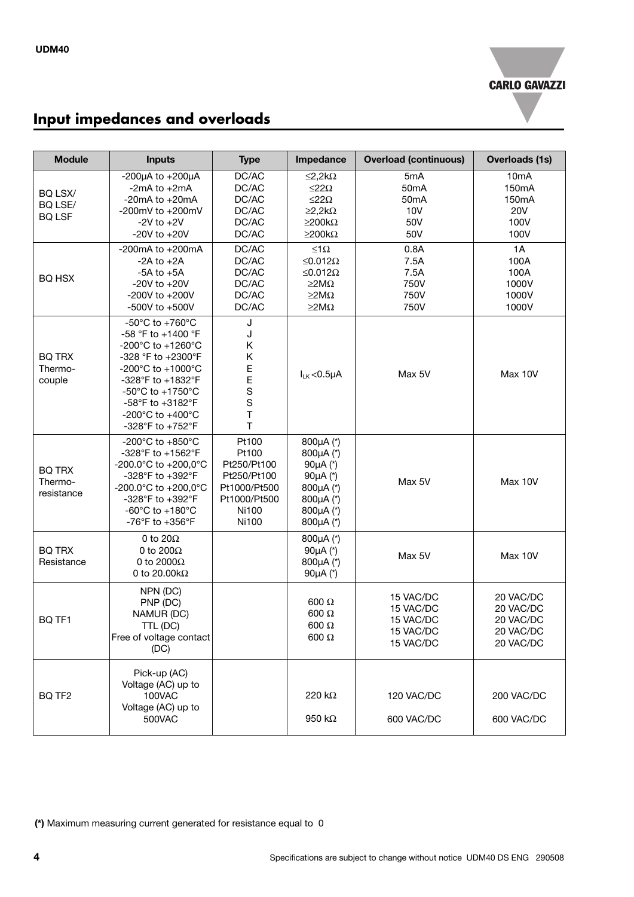

# **Input impedances and overloads**

| <b>Module</b>                          | <b>Inputs</b>                                                                                                                                                                                                                                                                                              | <b>Type</b>                                                                                    | Impedance                                                                                                                  | <b>Overload (continuous)</b>                                       | <b>Overloads (1s)</b>                                             |
|----------------------------------------|------------------------------------------------------------------------------------------------------------------------------------------------------------------------------------------------------------------------------------------------------------------------------------------------------------|------------------------------------------------------------------------------------------------|----------------------------------------------------------------------------------------------------------------------------|--------------------------------------------------------------------|-------------------------------------------------------------------|
| BQ LSX/<br>BQ LSE/<br><b>BQ LSF</b>    | -200 $\mu$ A to +200 $\mu$ A<br>-2 $mA$ to $+2mA$<br>-20 $mA$ to $+20mA$<br>-200mV to $+200$ mV<br>$-2V$ to $+2V$<br>-20V to $+20V$                                                                                                                                                                        | DC/AC<br>DC/AC<br>DC/AC<br>DC/AC<br>DC/AC<br>DC/AC                                             | ≤2,2kΩ<br>$\leq$ 22 $\Omega$<br>$\leq$ 22 $\Omega$<br>$\geq$ 2,2k $\Omega$<br>$\geq$ 200k $\Omega$<br>$\geq$ 200k $\Omega$ | 5mA<br>50 <sub>m</sub> A<br>50 <sub>m</sub> A<br>10V<br>50V<br>50V | 10 <sub>m</sub> A<br>150mA<br>150mA<br><b>20V</b><br>100V<br>100V |
| <b>BQ HSX</b>                          | -200 $mA$ to +200 $mA$<br>$-2A$ to $+2A$<br>$-5A$ to $+5A$<br>-20V to $+20V$<br>-200V to +200V<br>-500V to +500V                                                                                                                                                                                           | DC/AC<br>DC/AC<br>DC/AC<br>DC/AC<br>DC/AC<br>DC/AC                                             | $≤1Ω$<br>≤0.012Ω<br>≤0.012Ω<br>$\geq$ M $\Omega$<br>$\geq$ M $\Omega$<br>$\geq$ M $\Omega$                                 | 0.8A<br>7.5A<br>7.5A<br>750V<br>750V<br>750V                       | 1A<br>100A<br>100A<br>1000V<br>1000V<br>1000V                     |
| <b>BQ TRX</b><br>Thermo-<br>couple     | -50 $\mathrm{^{\circ}C}$ to +760 $\mathrm{^{\circ}C}$<br>-58 $\degree$ F to +1400 $\degree$ F<br>-200°C to +1260°C<br>-328 °F to +2300°F<br>$-200^{\circ}$ C to $+1000^{\circ}$ C<br>-328°F to +1832°F<br>-50°C to +1750°C<br>-58°F to +3182°F<br>$-200^{\circ}$ C to $+400^{\circ}$ C<br>-328°F to +752°F | J<br>J<br>Κ<br>Κ<br>E<br>E<br>$\mathbf S$<br>$\mathbf S$<br>$\top$<br>$\mathsf T$              | $I_{LK}$ <0.5 $\mu$ A                                                                                                      | Max 5V                                                             | Max 10V                                                           |
| <b>BQ TRX</b><br>Thermo-<br>resistance | -200°C to +850°C<br>-328°F to +1562°F<br>-200.0°C to +200,0°C<br>-328°F to +392°F<br>-200.0°C to +200,0°C<br>-328°F to +392°F<br>-60 $^{\circ}$ C to +180 $^{\circ}$ C<br>-76°F to $+356$ °F                                                                                                               | Pt100<br>Pt100<br>Pt250/Pt100<br>Pt250/Pt100<br>Pt1000/Pt500<br>Pt1000/Pt500<br>Ni100<br>Ni100 | 800µA (*)<br>800µA (*)<br>90 $\mu$ A $(*)$<br>90µA (*)<br>800µA (*)<br>800µA (*)<br>800µA (*)<br>800µA (*)                 | Max 5V                                                             | Max 10V                                                           |
| <b>BQ TRX</b><br>Resistance            | 0 to 20 $\Omega$<br>0 to 200 $\Omega$<br>0 to 2000 $\Omega$<br>0 to 20.00 $k\Omega$                                                                                                                                                                                                                        |                                                                                                | 800µA (*)<br>90µA (*)<br>800µA (*)<br>90 $\mu$ A $(*)$                                                                     | Max 5V                                                             | Max 10V                                                           |
| BQ TF1                                 | NPN (DC)<br>PNP (DC)<br>NAMUR (DC)<br>TTL (DC)<br>Free of voltage contact<br>(DC)                                                                                                                                                                                                                          |                                                                                                | 600 $\Omega$<br>$600 \Omega$<br>600 $\Omega$<br>$600 \Omega$                                                               | 15 VAC/DC<br>15 VAC/DC<br>15 VAC/DC<br>15 VAC/DC<br>15 VAC/DC      | 20 VAC/DC<br>20 VAC/DC<br>20 VAC/DC<br>20 VAC/DC<br>20 VAC/DC     |
| BQ TF <sub>2</sub>                     | Pick-up (AC)<br>Voltage (AC) up to<br>100VAC<br>Voltage (AC) up to<br>500VAC                                                                                                                                                                                                                               |                                                                                                | 220 kΩ<br>950 k $\Omega$                                                                                                   | 120 VAC/DC<br>600 VAC/DC                                           | 200 VAC/DC<br>600 VAC/DC                                          |

**(\*)** Maximum measuring current generated for resistance equal to 0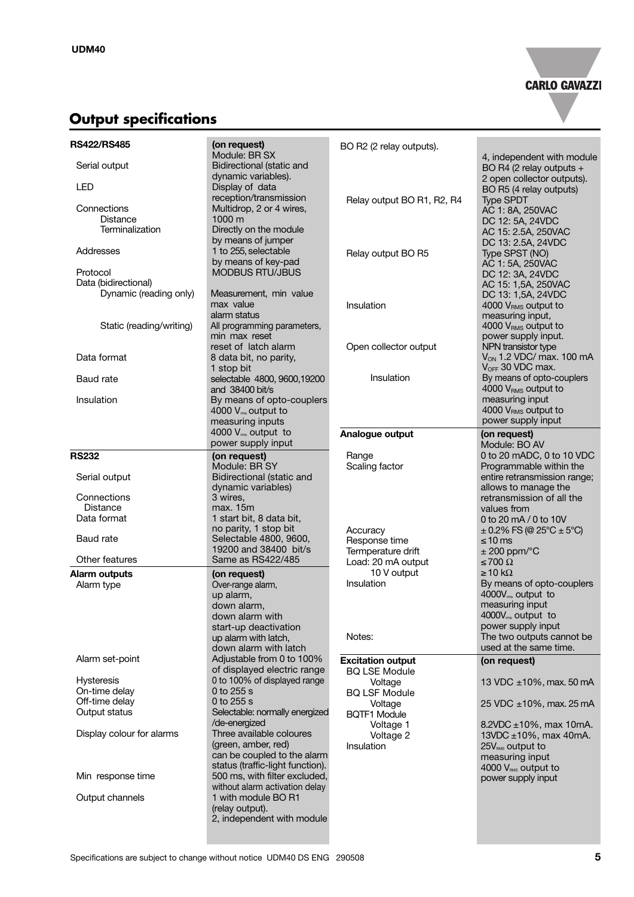

# **Output specifications**

| <b>RS422/RS485</b>        | (on request)<br>Module: BR SX                    | BO R2 (2 relay outputs).   |                                                        |
|---------------------------|--------------------------------------------------|----------------------------|--------------------------------------------------------|
| Serial output             | Bidirectional (static and<br>dynamic variables). |                            | 4, independent with module<br>BO R4 (2 relay outputs + |
| LED                       | Display of data<br>reception/transmission        |                            | 2 open collector outputs).<br>BO R5 (4 relay outputs)  |
|                           |                                                  | Relay output BO R1, R2, R4 | <b>Type SPDT</b>                                       |
| Connections               | Multidrop, 2 or 4 wires,                         |                            | AC 1: 8A, 250VAC                                       |
| <b>Distance</b>           | 1000 m                                           |                            | DC 12: 5A, 24VDC                                       |
| <b>Terminalization</b>    | Directly on the module<br>by means of jumper     |                            | AC 15: 2.5A, 250VAC<br>DC 13: 2.5A, 24VDC              |
| Addresses                 | 1 to 255, selectable<br>by means of key-pad      | Relay output BO R5         | Type SPST (NO)<br>AC 1: 5A, 250VAC                     |
| Protocol                  | <b>MODBUS RTU/JBUS</b>                           |                            | DC 12: 3A, 24VDC                                       |
| Data (bidirectional)      |                                                  |                            |                                                        |
| Dynamic (reading only)    | Measurement, min value                           |                            | AC 15: 1,5A, 250VAC                                    |
|                           | max value<br>alarm status                        | Insulation                 | DC 13: 1,5A, 24VDC<br>4000 V <sub>RMS</sub> output to  |
|                           |                                                  |                            | measuring input,                                       |
| Static (reading/writing)  | All programming parameters,                      |                            | 4000 VRMS output to                                    |
|                           | min max reset                                    |                            | power supply input.                                    |
|                           | reset of latch alarm                             | Open collector output      | NPN transistor type                                    |
| Data format               | 8 data bit, no parity,                           |                            | $V_{ON}$ 1.2 VDC/ max. 100 mA                          |
|                           | 1 stop bit                                       |                            | V <sub>OFF</sub> 30 VDC max.                           |
| <b>Baud</b> rate          | selectable 4800, 9600, 19200                     | Insulation                 | By means of opto-couplers                              |
|                           | and 38400 bit/s                                  |                            | 4000 V <sub>RMS</sub> output to                        |
|                           |                                                  |                            | measuring input                                        |
| Insulation                | By means of opto-couplers                        |                            |                                                        |
|                           | 4000 $V_{\text{ms}}$ output to                   |                            | 4000 V <sub>RMS</sub> output to                        |
|                           | measuring inputs                                 |                            | power supply input                                     |
|                           | 4000 V <sub>ms</sub> output to                   | Analogue output            | (on request)                                           |
|                           | power supply input                               |                            | Module: BO AV                                          |
| <b>RS232</b>              | (on request)                                     | Range                      | 0 to 20 mADC, 0 to 10 VDC                              |
|                           | Module: BR SY                                    | Scaling factor             | Programmable within the                                |
| Serial output             | Bidirectional (static and                        |                            | entire retransmission range;                           |
|                           | dynamic variables)                               |                            | allows to manage the                                   |
| Connections               | 3 wires.                                         |                            |                                                        |
|                           |                                                  |                            | retransmission of all the                              |
| Distance                  | max. 15m                                         |                            | values from                                            |
| Data format               | 1 start bit, 8 data bit,                         |                            | 0 to 20 mA / 0 to 10V                                  |
|                           | no parity, 1 stop bit                            | Accuracy                   | $\pm$ 0.2% FS (@ 25°C $\pm$ 5°C)                       |
| <b>Baud</b> rate          | Selectable 4800, 9600,                           | Response time              | ≤ 10 ms                                                |
|                           | 19200 and 38400 bit/s                            | Termperature drift         | $\pm$ 200 ppm/ $\degree$ C                             |
| Other features            | Same as RS422/485                                | Load: 20 mA output         | $\leq 700 \Omega$                                      |
| Alarm outputs             | (on request)                                     | 10 V output                | $\geq$ 10 k $\Omega$                                   |
| Alarm type                | Over-range alarm,                                | Insulation                 | By means of opto-couplers                              |
|                           | up alarm,                                        |                            | 4000V <sub>ms</sub> output to                          |
|                           |                                                  |                            |                                                        |
|                           | down alarm,                                      |                            | measuring input                                        |
|                           | down alarm with                                  |                            | 4000V <sub>ms</sub> output to                          |
|                           | start-up deactivation                            |                            | power supply input                                     |
|                           | up alarm with latch,                             | Notes:                     | The two outputs cannot be                              |
|                           | down alarm with latch                            |                            | used at the same time.                                 |
| Alarm set-point           | Adjustable from 0 to 100%                        | <b>Excitation output</b>   | (on request)                                           |
|                           | of displayed electric range                      | <b>BQ LSE Module</b>       |                                                        |
| <b>Hysteresis</b>         | 0 to 100% of displayed range                     | Voltage                    | 13 VDC ±10%, max. 50 mA                                |
| On-time delay             | 0 to 255 s                                       | <b>BQ LSF Module</b>       |                                                        |
| Off-time delay            | 0 to 255 s                                       |                            |                                                        |
| Output status             | Selectable: normally energized                   | Voltage                    | 25 VDC ±10%, max. 25 mA                                |
|                           | /de-energized                                    | <b>BQTF1 Module</b>        |                                                        |
|                           |                                                  | Voltage 1                  | 8.2VDC $\pm$ 10%, max 10mA.                            |
| Display colour for alarms | Three available coloures                         | Voltage 2                  | 13VDC $\pm$ 10%, max 40mA.                             |
|                           | (green, amber, red)                              | Insulation                 | 25V <sub>RMS</sub> output to                           |
|                           | can be coupled to the alarm                      |                            | measuring input                                        |
|                           | status (traffic-light function).                 |                            | 4000 VRMs output to                                    |
| Min response time         | 500 ms, with filter excluded,                    |                            | power supply input                                     |
|                           | without alarm activation delay                   |                            |                                                        |
| Output channels           | 1 with module BO R1                              |                            |                                                        |
|                           | (relay output).                                  |                            |                                                        |
|                           | 2, independent with module                       |                            |                                                        |
|                           |                                                  |                            |                                                        |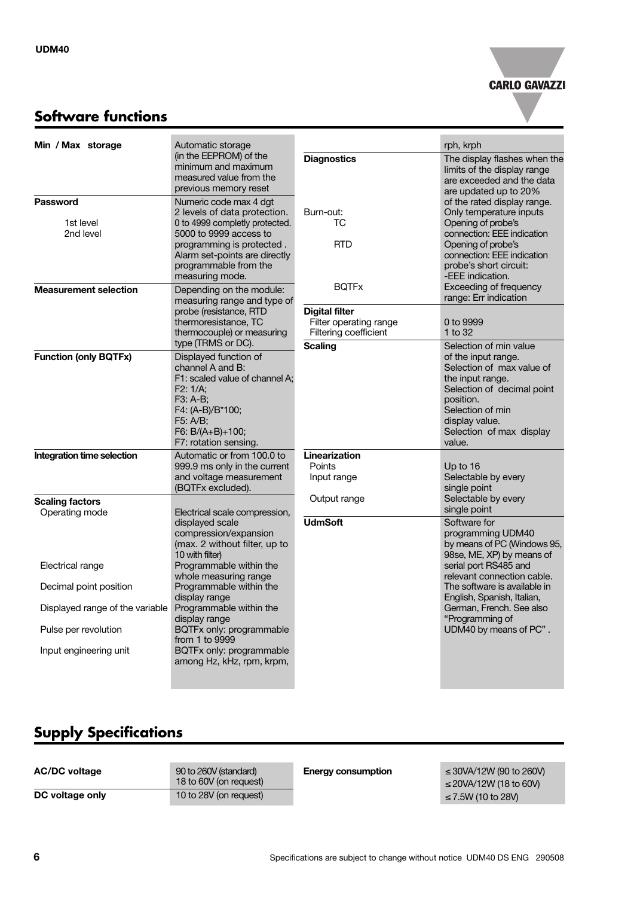

### **Software functions**

| Min / Max storage                                    | Automatic storage                                                                                                                                                                                                            |                                                                          | rph, krph                                                                                                                                                                                                                                     |
|------------------------------------------------------|------------------------------------------------------------------------------------------------------------------------------------------------------------------------------------------------------------------------------|--------------------------------------------------------------------------|-----------------------------------------------------------------------------------------------------------------------------------------------------------------------------------------------------------------------------------------------|
|                                                      | (in the EEPROM) of the<br>minimum and maximum<br>measured value from the<br>previous memory reset                                                                                                                            | <b>Diagnostics</b>                                                       | The display flashes when the<br>limits of the display range<br>are exceeded and the data<br>are updated up to 20%                                                                                                                             |
| <b>Password</b><br>1st level<br>2nd level            | Numeric code max 4 dgt<br>2 levels of data protection.<br>0 to 4999 completly protected.<br>5000 to 9999 access to<br>programming is protected.<br>Alarm set-points are directly<br>programmable from the<br>measuring mode. | Burn-out:<br>ТC<br><b>RTD</b><br><b>BOTFx</b>                            | of the rated display range.<br>Only temperature inputs<br>Opening of probe's<br>connection: EEE indication<br>Opening of probe's<br>connection: EEE indication<br>probe's short circuit:<br>-EEE indication.<br><b>Exceeding of frequency</b> |
| <b>Measurement selection</b>                         | Depending on the module:<br>measuring range and type of<br>probe (resistance, RTD<br>thermoresistance, TC<br>thermocouple) or measuring<br>type (TRMS or DC).                                                                | <b>Digital filter</b><br>Filter operating range<br>Filtering coefficient | range: Err indication<br>0 to 9999<br>1 to 32                                                                                                                                                                                                 |
| <b>Function (only BQTFx)</b>                         | Displayed function of<br>channel A and B:<br>F1: scaled value of channel A:<br>F2: 1/A:<br>F3: A-B;<br>F4: (A-B)/B*100;<br>F5: A/B;<br>F6: B/(A+B)+100;<br>F7: rotation sensing.                                             | <b>Scaling</b>                                                           | Selection of min value<br>of the input range.<br>Selection of max value of<br>the input range.<br>Selection of decimal point<br>position.<br>Selection of min<br>display value.<br>Selection of max display<br>value.                         |
| Integration time selection<br><b>Scaling factors</b> | Automatic or from 100.0 to<br>999.9 ms only in the current<br>and voltage measurement<br>(BQTFx excluded).                                                                                                                   | Linearization<br>Points<br>Input range<br>Output range                   | Up to 16<br>Selectable by every<br>single point<br>Selectable by every                                                                                                                                                                        |
| Operating mode                                       | Electrical scale compression,<br>displayed scale<br>compression/expansion<br>(max. 2 without filter, up to<br>10 with filter)                                                                                                | <b>UdmSoft</b>                                                           | single point<br>Software for<br>programming UDM40<br>by means of PC (Windows 95,<br>98se, ME, XP) by means of                                                                                                                                 |
| Electrical range                                     | Programmable within the<br>whole measuring range                                                                                                                                                                             |                                                                          | serial port RS485 and<br>relevant connection cable.                                                                                                                                                                                           |
| Decimal point position                               | Programmable within the<br>display range                                                                                                                                                                                     |                                                                          | The software is available in<br>English, Spanish, Italian,                                                                                                                                                                                    |
| Displayed range of the variable                      | Programmable within the<br>display range                                                                                                                                                                                     |                                                                          | German, French. See also<br>"Programming of                                                                                                                                                                                                   |
| Pulse per revolution                                 | BQTFx only: programmable<br>from 1 to 9999                                                                                                                                                                                   |                                                                          | UDM40 by means of PC".                                                                                                                                                                                                                        |
| Input engineering unit                               | BQTFx only: programmable<br>among Hz, kHz, rpm, krpm,                                                                                                                                                                        |                                                                          |                                                                                                                                                                                                                                               |

# **Supply Specifications**

| <b>AC/DC voltage</b> | 90 to 260V (standard)<br>18 to 60V (on request) | <b>Energy consumption</b> | ≤ 30VA/12W (90 to 260V)<br>≤ 20VA/12W (18 to 60V) |
|----------------------|-------------------------------------------------|---------------------------|---------------------------------------------------|
| DC voltage only      | 10 to 28V (on request)                          |                           | ≤ 7.5W (10 to 28V)                                |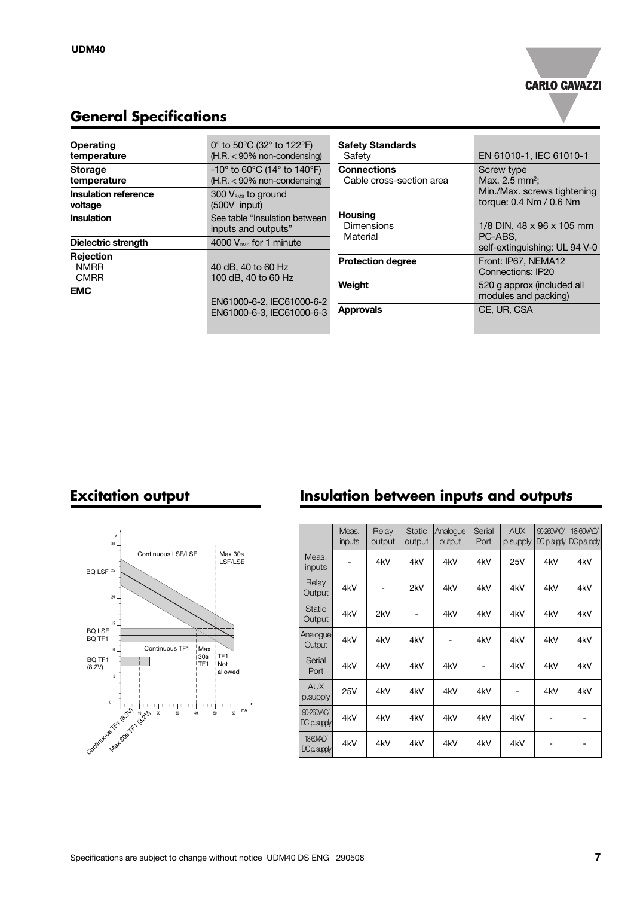

## **General Specifications**

| Operating<br>temperature                | 0 $\degree$ to 50 $\degree$ C (32 $\degree$ to 122 $\degree$ F)<br>$(H.R. < 90\%$ non-condensing)       | <b>Safety Standards</b><br>Safety              | EN 61010-1, IEC 61010-1                                |
|-----------------------------------------|---------------------------------------------------------------------------------------------------------|------------------------------------------------|--------------------------------------------------------|
| <b>Storage</b><br>temperature           | -10 $^{\circ}$ to 60 $^{\circ}$ C (14 $^{\circ}$ to 140 $^{\circ}$ F)<br>$(H.R. < 90\%$ non-condensing) | <b>Connections</b><br>Cable cross-section area | Screw type<br>Max. 2.5 mm <sup>2</sup> ;               |
| Insulation reference<br>voltage         | $300 VRMS$ to ground<br>$(500V$ input)                                                                  |                                                | Min./Max. screws tightening<br>torque: 0.4 Nm / 0.6 Nm |
| Insulation                              | See table "Insulation between"<br>inputs and outputs"                                                   | <b>Housing</b><br><b>Dimensions</b>            | 1/8 DIN, 48 x 96 x 105 mm                              |
| Dielectric strength                     | 4000 $V_{\text{RMS}}$ for 1 minute                                                                      | Material                                       | PC-ABS.<br>self-extinguishing: UL 94 V-0               |
| Rejection<br><b>NMRR</b><br><b>CMRR</b> | 40 dB, 40 to 60 Hz<br>100 dB, 40 to 60 Hz                                                               | <b>Protection degree</b>                       | Front: IP67, NEMA12<br>Connections: IP20               |
| <b>EMC</b>                              | EN61000-6-2, IEC61000-6-2                                                                               | Weight                                         | 520 g approx (included all<br>modules and packing)     |
|                                         | EN61000-6-3. IEC61000-6-3                                                                               | <b>Approvals</b>                               | CE, UR, CSA                                            |



### **Excitation output Insulation between inputs and outputs**

|                                         | Meas.<br>inputs | Relay<br>output | <b>Static</b><br>output | Analoque<br>output | Serial<br>Port | <b>AUX</b><br>p.supply | 90-260VAC/<br>$DC$ $p$ . supply | 18-60VAC/<br>DC p.supply |
|-----------------------------------------|-----------------|-----------------|-------------------------|--------------------|----------------|------------------------|---------------------------------|--------------------------|
| Meas.<br>inputs                         |                 | 4kV             | 4kV                     | 4kV                | 4kV            | 25V                    | 4kV                             | 4kV                      |
| Relay<br>Output                         | 4kV             |                 | 2kV                     | 4kV                | 4kV            | 4kV                    | 4kV                             | 4kV                      |
| <b>Static</b><br>Output                 | 4kV             | 2kV             |                         | 4kV                | 4kV            | 4kV                    | 4kV                             | 4kV                      |
| Analogue<br>Output                      | 4kV             | 4kV             | 4kV                     |                    | 4kV            | 4kV                    | 4kV                             | 4kV                      |
| Serial<br>Port                          | 4kV             | 4kV             | 4kV                     | 4kV                |                | 4kV                    | 4kV                             | 4kV                      |
| <b>AUX</b><br>p.supply                  | <b>25V</b>      | 4kV             | 4kV                     | 4kV                | 4kV            |                        | 4kV                             | 4kV                      |
| 90-260VAC/<br>$DC$ $p$ $\alpha$ $p$ $q$ | 4kV             | 4kV             | 4kV                     | 4kV                | 4kV            | 4kV                    |                                 | $\overline{\phantom{0}}$ |
| 18-60VAC/<br>$DCD$ , supply             | 4kV             | 4kV             | 4kV                     | 4kV                | 4kV            | 4kV                    |                                 | -                        |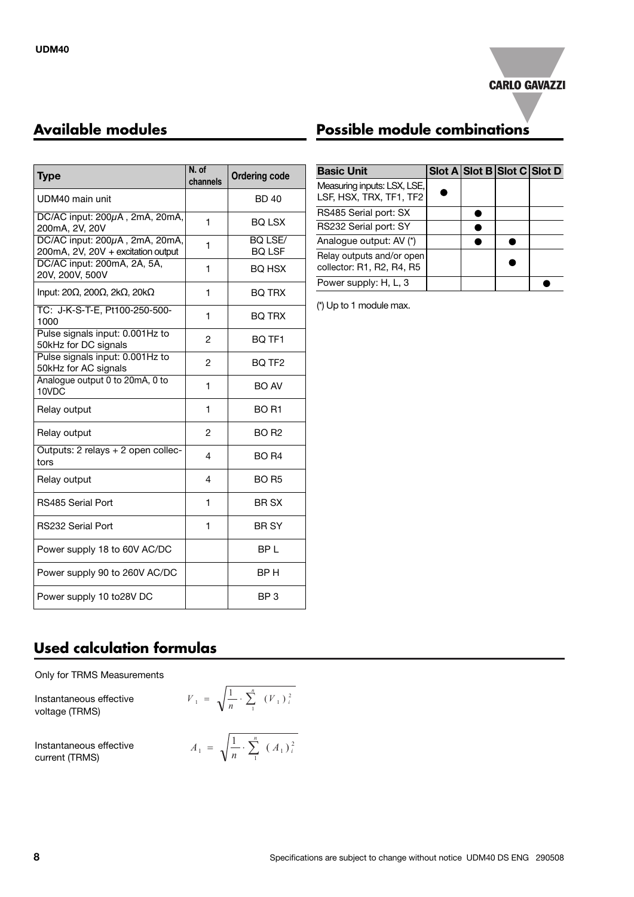

| <b>Type</b>                                                          | N. of<br>channels | <b>Ordering code</b>            |  |
|----------------------------------------------------------------------|-------------------|---------------------------------|--|
| UDM40 main unit                                                      |                   | <b>BD40</b>                     |  |
| $DC/AC$ input: $200\mu A$ , $2mA$ , $20mA$ ,<br>200mA, 2V, 20V       | 1                 | <b>BO LSX</b>                   |  |
| DC/AC input: 200µA, 2mA, 20mA,<br>200mA, 2V, 20V + excitation output | 1                 | <b>BO LSE/</b><br><b>BQ LSF</b> |  |
| DC/AC input: 200mA, 2A, 5A,<br>20V, 200V, 500V                       | 1                 | <b>BO HSX</b>                   |  |
| Input: 20Ω, 200Ω, 2kΩ, 20kΩ                                          | 1                 | <b>BQ TRX</b>                   |  |
| TC: J-K-S-T-E, Pt100-250-500-<br>1000                                | 1                 | <b>BQ TRX</b>                   |  |
| Pulse signals input: 0.001Hz to<br>50kHz for DC signals              | $\overline{2}$    | BQ TF1                          |  |
| Pulse signals input: 0.001Hz to<br>50kHz for AC signals              | $\overline{2}$    | BQ TF <sub>2</sub>              |  |
| Analogue output 0 to 20mA, 0 to<br>10VDC                             | 1                 | BO AV                           |  |
| Relay output                                                         | 1                 | <b>BO R1</b>                    |  |
| Relay output                                                         | $\overline{2}$    | <b>BO R2</b>                    |  |
| Outputs: 2 relays + 2 open collec-<br>tors                           | 4                 | <b>BO R4</b>                    |  |
| Relay output                                                         | $\overline{4}$    | <b>BO R5</b>                    |  |
| RS485 Serial Port                                                    | 1                 | BR SX                           |  |
| RS232 Serial Port                                                    | 1                 | <b>BR SY</b>                    |  |
| Power supply 18 to 60V AC/DC                                         |                   | BP L                            |  |
| Power supply 90 to 260V AC/DC                                        |                   | BP H                            |  |
| Power supply 10 to28V DC                                             |                   | BP <sub>3</sub>                 |  |

### **Available modules Possible module combinations**

| <b>Basic Unit</b>                                      |  | Slot A Slot B Slot C Slot D |  |
|--------------------------------------------------------|--|-----------------------------|--|
| Measuring inputs: LSX, LSE,<br>LSF, HSX, TRX, TF1, TF2 |  |                             |  |
| RS485 Serial port: SX                                  |  |                             |  |
| RS232 Serial port: SY                                  |  |                             |  |
| Analogue output: AV (*)                                |  |                             |  |
| Relay outputs and/or open<br>collector: R1, R2, R4, R5 |  |                             |  |
| Power supply: H, L, 3                                  |  |                             |  |

(\*) Up to 1 module max.

### **Used calculation formulas**

Only for TRMS Measurements

Instantaneous effective voltage (TRMS)

Instantaneous effective current (TRMS)

$$
V_1 = \sqrt{\frac{1}{n} \cdot \sum_{1}^{n} (V_1)^2}
$$

$$
A_1 = \sqrt{\frac{1}{n} \cdot \sum_{1}^{n} (A_1)^2}
$$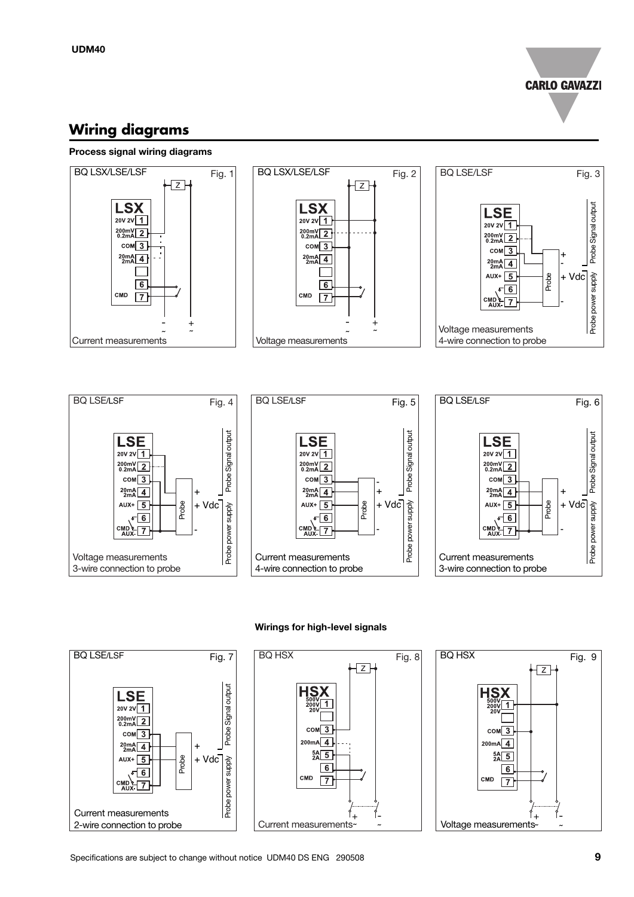**CARLO GAVAZZI** 

### **Wiring diagrams**

Voltage measurements 3-wire connection to probe

 $com<sub>3</sub>$ 

 $\frac{20 \text{mA}}{2 \text{mA}}$  4

 $AUX + 5$ 

 $CMD$  $-7$ 

 $\sigma$ <sup>6</sup>

-

Probe

+ Vdc +

Probe power supply

#### **Process signal wiring diagrams**



#### **Wirings for high-level signals**

-

Probe

- +

+ Vdc

supply

Probe power

Current measurements 4-wire connection to probe

 $com<sub>3</sub>$ 

 $20mA$   $4$ 

 $AUX + 5$ 

 $CMD. 7$ 

 $\sqrt{6}$ 



Current measurements 3-wire connection to probe

 $com\overline{3}$ 

 $20mA$   $4$ 

 $AUX + 5$ 

 $CMD. 7$ 

 $\sqrt{6}$ 

-

Probe

+ Vdc +

Probe power supply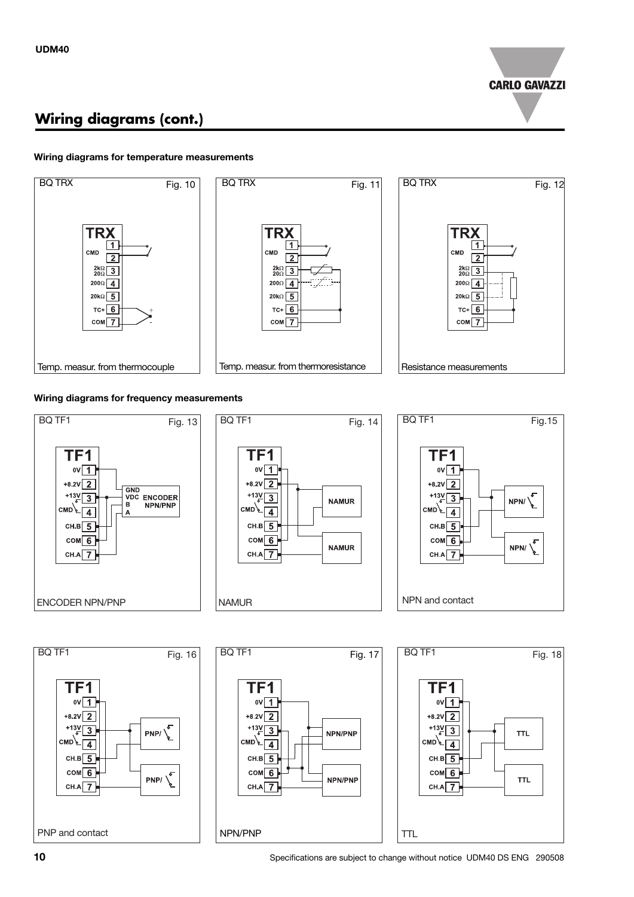

## **Wiring diagrams (cont.)**

#### **Wiring diagrams for temperature measurements**



#### **Wiring diagrams for frequency measurements**

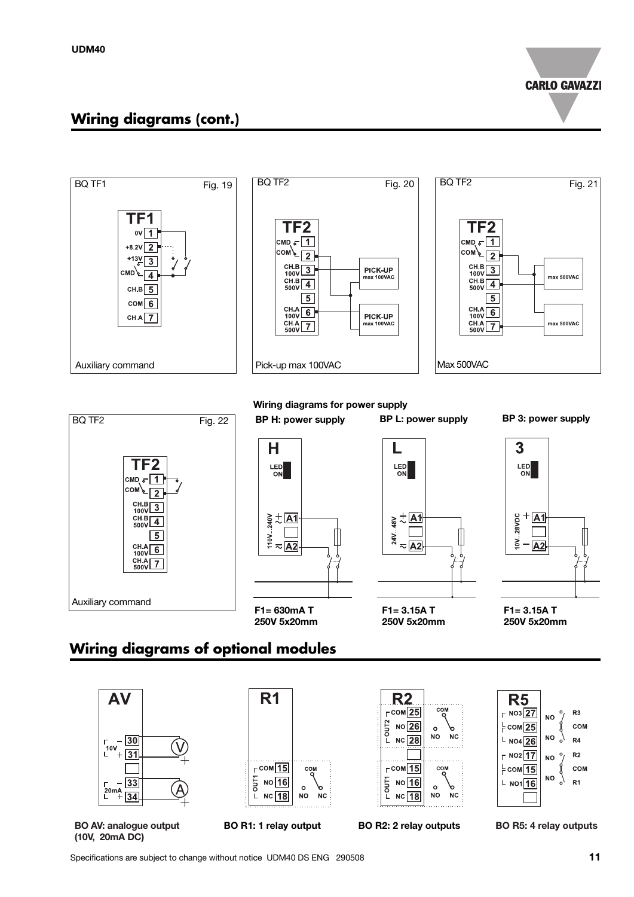**CARLO GAVAZZI** 

#### **Wiring diagrams (cont.)**





# **Wiring diagrams of optional modules**



**(10V, 20mA DC)**

Specifications are subject to change without notice UDM40 DS ENG 290508 **11**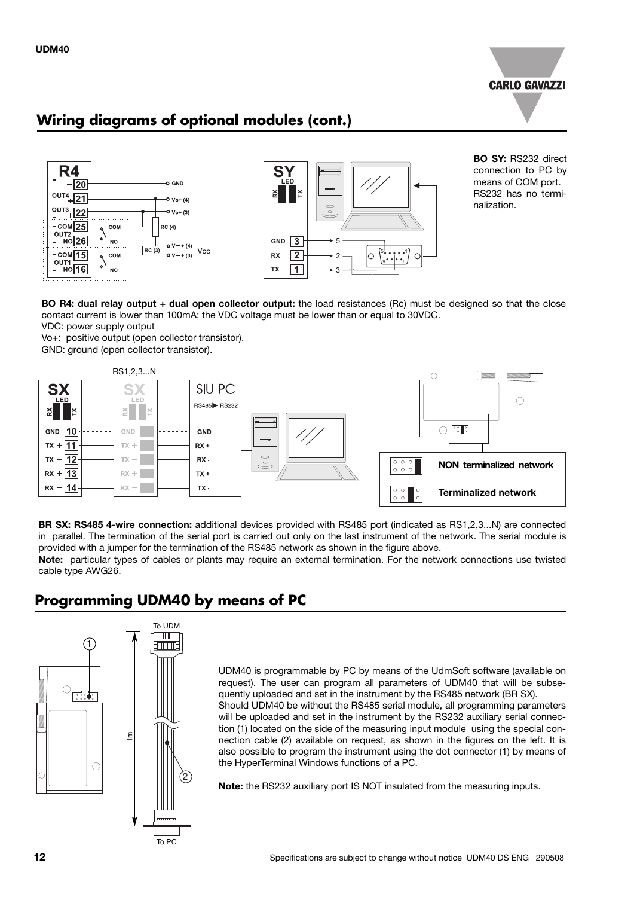

### **Wiring diagrams of optional modules (cont.)**





**BO SY:** RS232 direct connection to PC by means of COM port. RS232 has no terminalization.

**BO R4: dual relay output + dual open collector output:** the load resistances (Rc) must be designed so that the close contact current is lower than 100mA; the VDC voltage must be lower than or equal to 30VDC.

VDC: power supply output

Vo+: positive output (open collector transistor). GND: ground (open collector transistor).



**BR SX: RS485 4-wire connection:** additional devices provided with RS485 port (indicated as RS1,2,3...N) are connected in parallel. The termination of the serial port is carried out only on the last instrument of the network. The serial module is provided with a jumper for the termination of the RS485 network as shown in the figure above.

**Note:** particular types of cables or plants may require an external termination. For the network connections use twisted cable type AWG26.

### **Programming UDM40 by means of PC**



UDM40 is programmable by PC by means of the UdmSoft software (available on request). The user can program all parameters of UDM40 that will be subsequently uploaded and set in the instrument by the RS485 network (BR SX). Should UDM40 be without the RS485 serial module, all programming parameters will be uploaded and set in the instrument by the RS232 auxiliary serial connection (1) located on the side of the measuring input module using the special connection cable (2) available on request, as shown in the figures on the left. It is also possible to program the instrument using the dot connector (1) by means of the HyperTerminal Windows functions of a PC.

**Note:** the RS232 auxiliary port IS NOT insulated from the measuring inputs.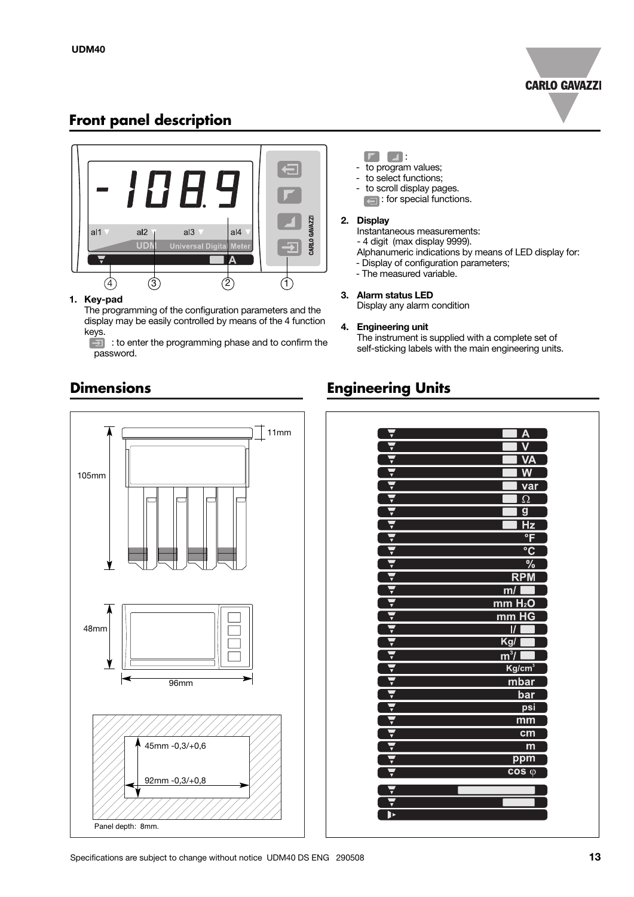

### **Front panel description**



#### **1. Key-pad**

The programming of the configuration parameters and the display may be easily controlled by means of the 4 function keys.

: to enter the programming phase and to confirm the  $\overline{\mathbf{E}}$ password.

#### $\Gamma$   $\Box$ :

- to program values;
- to select functions;
- to scroll display pages. **cal**: for special functions.

#### **2. Display**

- Instantaneous measurements:
- 4 digit (max display 9999).
- Alphanumeric indications by means of LED display for:
- Display of configuration parameters;
- The measured variable.

#### **3. Alarm status LED**

Display any alarm condition

#### **4. Engineering unit**

The instrument is supplied with a complete set of self-sticking labels with the main engineering units.

### **Engineering Units**



#### **Dimensions**